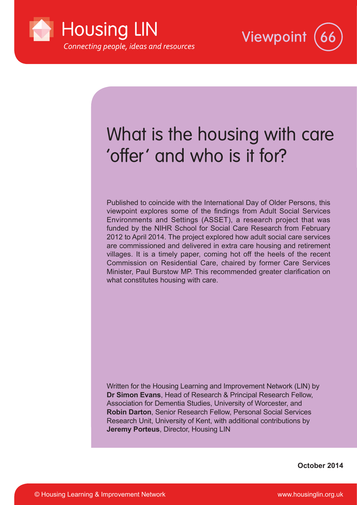



# What is the housing with care 'offer' and who is it for?

Published to coincide with the International Day of Older Persons, this viewpoint explores some of the findings from Adult Social Services Environments and Settings (ASSET), a research project that was funded by the NIHR School for Social Care Research from February 2012 to April 2014. The project explored how adult social care services are commissioned and delivered in extra care housing and retirement villages. It is a timely paper, coming hot off the heels of the recent Commission on Residential Care, chaired by former Care Services Minister, Paul Burstow MP. This recommended greater clarification on what constitutes housing with care.

Written for the Housing Learning and Improvement Network (LIN) by **Dr Simon Evans**, Head of Research & Principal Research Fellow, Association for Dementia Studies, University of Worcester, and **Robin Darton**, Senior Research Fellow, Personal Social Services Research Unit, University of Kent, with additional contributions by **Jeremy Porteus**, Director, Housing LIN

**October 2014**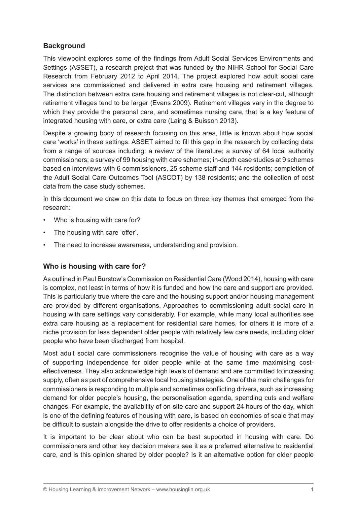# **Background**

This viewpoint explores some of the findings from Adult Social Services Environments and Settings (ASSET), a research project that was funded by the NIHR School for Social Care Research from February 2012 to April 2014. The project explored how adult social care services are commissioned and delivered in extra care housing and retirement villages. The distinction between extra care housing and retirement villages is not clear-cut, although retirement villages tend to be larger (Evans 2009). Retirement villages vary in the degree to which they provide the personal care, and sometimes nursing care, that is a key feature of integrated housing with care, or extra care (Laing & Buisson 2013).

Despite a growing body of research focusing on this area, little is known about how social care 'works' in these settings. ASSET aimed to fill this gap in the research by collecting data from a range of sources including: a review of the literature; a survey of 64 local authority commissioners; a survey of 99 housing with care schemes; in-depth case studies at 9 schemes based on interviews with 6 commissioners, 25 scheme staff and 144 residents; completion of the Adult Social Care Outcomes Tool (ASCOT) by 138 residents; and the collection of cost data from the case study schemes.

In this document we draw on this data to focus on three key themes that emerged from the research:

- Who is housing with care for?
- The housing with care 'offer'.
- The need to increase awareness, understanding and provision.

# **Who is housing with care for?**

As outlined in Paul Burstow's Commission on Residential Care (Wood 2014), housing with care is complex, not least in terms of how it is funded and how the care and support are provided. This is particularly true where the care and the housing support and/or housing management are provided by different organisations. Approaches to commissioning adult social care in housing with care settings vary considerably. For example, while many local authorities see extra care housing as a replacement for residential care homes, for others it is more of a niche provision for less dependent older people with relatively few care needs, including older people who have been discharged from hospital.

Most adult social care commissioners recognise the value of housing with care as a way of supporting independence for older people while at the same time maximising costeffectiveness. They also acknowledge high levels of demand and are committed to increasing supply, often as part of comprehensive local housing strategies. One of the main challenges for commissioners is responding to multiple and sometimes conflicting drivers, such as increasing demand for older people's housing, the personalisation agenda, spending cuts and welfare changes. For example, the availability of on-site care and support 24 hours of the day, which is one of the defining features of housing with care, is based on economies of scale that may be difficult to sustain alongside the drive to offer residents a choice of providers.

It is important to be clear about who can be best supported in housing with care. Do commissioners and other key decision makers see it as a preferred alternative to residential care, and is this opinion shared by older people? Is it an alternative option for older people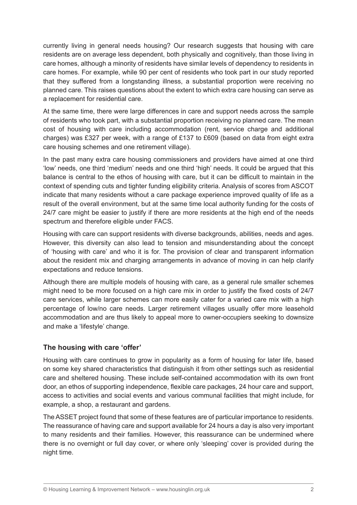currently living in general needs housing? Our research suggests that housing with care residents are on average less dependent, both physically and cognitively, than those living in care homes, although a minority of residents have similar levels of dependency to residents in care homes. For example, while 90 per cent of residents who took part in our study reported that they suffered from a longstanding illness, a substantial proportion were receiving no planned care. This raises questions about the extent to which extra care housing can serve as a replacement for residential care.

At the same time, there were large differences in care and support needs across the sample of residents who took part, with a substantial proportion receiving no planned care. The mean cost of housing with care including accommodation (rent, service charge and additional charges) was £327 per week, with a range of £137 to £609 (based on data from eight extra care housing schemes and one retirement village).

In the past many extra care housing commissioners and providers have aimed at one third 'low' needs, one third 'medium' needs and one third 'high' needs. It could be argued that this balance is central to the ethos of housing with care, but it can be difficult to maintain in the context of spending cuts and tighter funding eligibility criteria. Analysis of scores from ASCOT indicate that many residents without a care package experience improved quality of life as a result of the overall environment, but at the same time local authority funding for the costs of 24/7 care might be easier to justify if there are more residents at the high end of the needs spectrum and therefore eligible under FACS.

Housing with care can support residents with diverse backgrounds, abilities, needs and ages. However, this diversity can also lead to tension and misunderstanding about the concept of 'housing with care' and who it is for. The provision of clear and transparent information about the resident mix and charging arrangements in advance of moving in can help clarify expectations and reduce tensions.

Although there are multiple models of housing with care, as a general rule smaller schemes might need to be more focused on a high care mix in order to justify the fixed costs of 24/7 care services, while larger schemes can more easily cater for a varied care mix with a high percentage of low/no care needs. Larger retirement villages usually offer more leasehold accommodation and are thus likely to appeal more to owner-occupiers seeking to downsize and make a 'lifestyle' change.

# **The housing with care 'offer'**

Housing with care continues to grow in popularity as a form of housing for later life, based on some key shared characteristics that distinguish it from other settings such as residential care and sheltered housing. These include self-contained accommodation with its own front door, an ethos of supporting independence, flexible care packages, 24 hour care and support, access to activities and social events and various communal facilities that might include, for example, a shop, a restaurant and gardens.

The ASSET project found that some of these features are of particular importance to residents. The reassurance of having care and support available for 24 hours a day is also very important to many residents and their families. However, this reassurance can be undermined where there is no overnight or full day cover, or where only 'sleeping' cover is provided during the night time.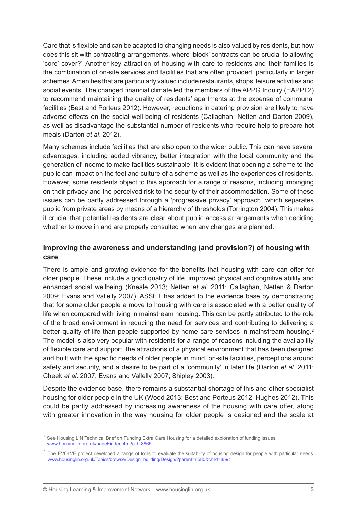Care that is flexible and can be adapted to changing needs is also valued by residents, but how does this sit with contracting arrangements, where 'block' contracts can be crucial to allowing 'core' cover?<sup>1</sup> Another key attraction of housing with care to residents and their families is the combination of on-site services and facilities that are often provided, particularly in larger schemes. Amenities that are particularly valued include restaurants, shops, leisure activities and social events. The changed financial climate led the members of the APPG Inquiry (HAPPI 2) to recommend maintaining the quality of residents' apartments at the expense of communal facilities (Best and Porteus 2012). However, reductions in catering provision are likely to have adverse effects on the social well-being of residents (Callaghan, Netten and Darton 2009), as well as disadvantage the substantial number of residents who require help to prepare hot meals (Darton *et al*. 2012).

Many schemes include facilities that are also open to the wider public. This can have several advantages, including added vibrancy, better integration with the local community and the generation of income to make facilities sustainable. It is evident that opening a scheme to the public can impact on the feel and culture of a scheme as well as the experiences of residents. However, some residents object to this approach for a range of reasons, including impinging on their privacy and the perceived risk to the security of their accommodation. Some of these issues can be partly addressed through a 'progressive privacy' approach, which separates public from private areas by means of a hierarchy of thresholds (Torrington 2004). This makes it crucial that potential residents are clear about public access arrangements when deciding whether to move in and are properly consulted when any changes are planned.

# **Improving the awareness and understanding (and provision?) of housing with care**

There is ample and growing evidence for the benefits that housing with care can offer for older people. These include a good quality of life, improved physical and cognitive ability and enhanced social wellbeing (Kneale 2013; Netten *et al*. 2011; Callaghan, Netten & Darton 2009; Evans and Vallelly 2007). ASSET has added to the evidence base by demonstrating that for some older people a move to housing with care is associated with a better quality of life when compared with living in mainstream housing. This can be partly attributed to the role of the broad environment in reducing the need for services and contributing to delivering a better quality of life than people supported by home care services in mainstream housing.<sup>2</sup> The model is also very popular with residents for a range of reasons including the availability of flexible care and support, the attractions of a physical environment that has been designed and built with the specific needs of older people in mind, on-site facilities, perceptions around safety and security, and a desire to be part of a 'community' in later life (Darton *et al*. 2011; Cheek *et al*. 2007; Evans and Vallelly 2007; Shipley 2003).

Despite the evidence base, there remains a substantial shortage of this and other specialist housing for older people in the UK (Wood 2013; Best and Porteus 2012; Hughes 2012). This could be partly addressed by increasing awareness of the housing with care offer, along with greater innovation in the way housing for older people is designed and the scale at

<sup>&</sup>lt;sup>1</sup> See Housing LIN Technical Brief on Funding Extra Care Housing for a detailed exploration of funding issues www.housinglin.org.uk/pageFinder.cfm?cid=8865

<sup>&</sup>lt;sup>2</sup> The EVOLVE project developed a range of tools to evaluate the suitability of housing design for people with particular needs. www.housinglin.org.uk/Topics/browse/Design\_building/Design/?parent=8580&child=8591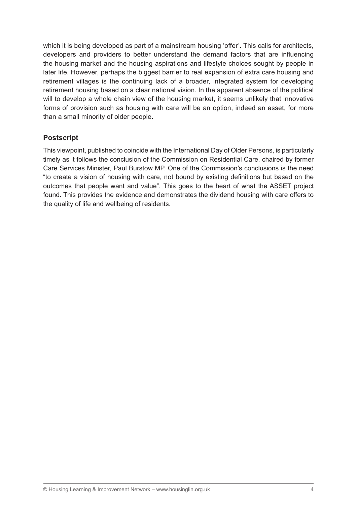which it is being developed as part of a mainstream housing 'offer'. This calls for architects, developers and providers to better understand the demand factors that are influencing the housing market and the housing aspirations and lifestyle choices sought by people in later life. However, perhaps the biggest barrier to real expansion of extra care housing and retirement villages is the continuing lack of a broader, integrated system for developing retirement housing based on a clear national vision. In the apparent absence of the political will to develop a whole chain view of the housing market, it seems unlikely that innovative forms of provision such as housing with care will be an option, indeed an asset, for more than a small minority of older people.

# **Postscript**

This viewpoint, published to coincide with the International Day of Older Persons, is particularly timely as it follows the conclusion of the Commission on Residential Care, chaired by former Care Services Minister, Paul Burstow MP. One of the Commission's conclusions is the need "to create a vision of housing with care, not bound by existing definitions but based on the outcomes that people want and value". This goes to the heart of what the ASSET project found. This provides the evidence and demonstrates the dividend housing with care offers to the quality of life and wellbeing of residents.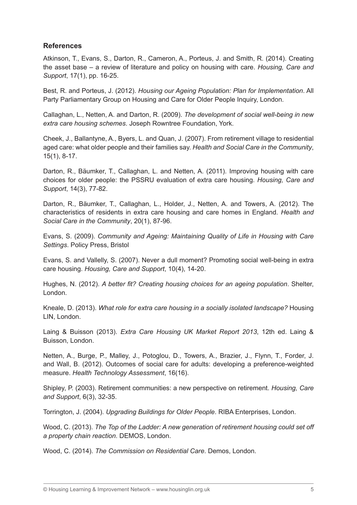## **References**

Atkinson, T., Evans, S., Darton, R., Cameron, A., Porteus, J. and Smith, R. (2014). Creating the asset base – a review of literature and policy on housing with care. *Housing, Care and Support*, 17(1), pp. 16-25.

Best, R. and Porteus, J. (2012). *Housing our Ageing Population: Plan for Implementation*. All Party Parliamentary Group on Housing and Care for Older People Inquiry, London.

Callaghan, L., Netten, A. and Darton, R. (2009). *The development of social well-being in new extra care housing schemes*. Joseph Rowntree Foundation, York.

Cheek, J., Ballantyne, A., Byers, L. and Quan, J. (2007). From retirement village to residential aged care: what older people and their families say. *Health and Social Care in the Community*, 15(1), 8-17.

Darton, R., Bäumker, T., Callaghan, L. and Netten, A. (2011). Improving housing with care choices for older people: the PSSRU evaluation of extra care housing. *Housing, Care and Support*, 14(3), 77-82.

Darton, R., Bäumker, T., Callaghan, L., Holder, J., Netten, A. and Towers, A. (2012). The characteristics of residents in extra care housing and care homes in England. *Health and Social Care in the Community*, 20(1), 87-96.

Evans, S. (2009). *Community and Ageing: Maintaining Quality of Life in Housing with Care Settings*. Policy Press, Bristol

Evans, S. and Vallelly, S. (2007). Never a dull moment? Promoting social well-being in extra care housing. *Housing, Care and Support*, 10(4), 14-20.

Hughes, N. (2012). *A better fit? Creating housing choices for an ageing population*. Shelter, London.

Kneale, D. (2013). *What role for extra care housing in a socially isolated landscape?* Housing LIN, London.

Laing & Buisson (2013). *Extra Care Housing UK Market Report 2013*, 12th ed. Laing & Buisson, London.

Netten, A., Burge, P., Malley, J., Potoglou, D., Towers, A., Brazier, J., Flynn, T., Forder, J. and Wall, B. (2012). Outcomes of social care for adults: developing a preference-weighted measure. *Health Technology Assessment*, 16(16).

Shipley, P. (2003). Retirement communities: a new perspective on retirement. *Housing, Care and Support*, 6(3), 32-35.

Torrington, J. (2004). *Upgrading Buildings for Older People*. RIBA Enterprises, London.

Wood, C. (2013). *The Top of the Ladder: A new generation of retirement housing could set off a property chain reaction*. DEMOS, London.

Wood, C. (2014). *The Commission on Residential Care*. Demos, London.